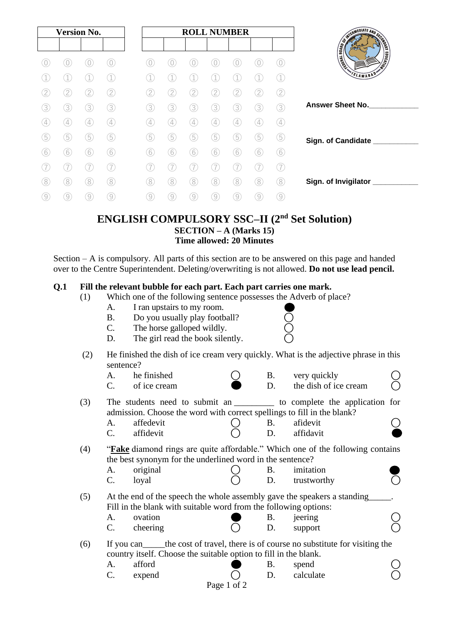| <b>Version No.</b> |                   |                   |                   | <b>ROLL NUMBER</b> |                   |                   |                   |                   |     |                |                                                   |
|--------------------|-------------------|-------------------|-------------------|--------------------|-------------------|-------------------|-------------------|-------------------|-----|----------------|---------------------------------------------------|
|                    |                   |                   |                   |                    |                   |                   |                   |                   |     |                |                                                   |
|                    |                   |                   |                   |                    |                   |                   |                   |                   |     | $\overline{0}$ | <b>CONTRACTOR AND SCRIPTION OF REAL PROPERTY.</b> |
|                    |                   |                   |                   |                    |                   |                   |                   |                   |     |                | SLAMABAD'                                         |
|                    | [2]               | 2                 | 2                 | 2,                 | 2,                | $^{\prime}$ 2     | 12                | $\overline{2}$    |     | 2)             |                                                   |
| 3                  | 3)                | (3)               | 3)                | (3)                | 3                 | 3                 | 3                 | 3                 | 3   | 3              | <b>Answer Sheet No.</b>                           |
| 4                  | $\left( 4\right)$ | $\left( 4\right)$ | $\left( 4\right)$ | $\left( 4\right)$  | (4)               | $\left( 4\right)$ | $\left( 4\right)$ | $\left( 4\right)$ | (4) | 4              |                                                   |
| 5                  | 5                 | 5                 | G)                | 5                  | (5                | (5                | 5                 | 5                 | 5   | (5)            | Sign. of Candidate ___                            |
| 6                  | 6                 | 6                 | 6                 | 6                  | 6                 | 6                 | 6                 | 6                 | 6   | 6)             |                                                   |
|                    |                   |                   | 7                 |                    |                   |                   |                   |                   |     |                |                                                   |
| 8)                 | 8                 | (8)               | (8)               | (8)                | 8                 | 8                 | 8                 | 8                 | 8   | (8)            | Sign. of Invigilator                              |
| 9                  | 9                 | 9                 | $\left( 9\right)$ | $\left( 9\right)$  | $\left( 9\right)$ | 9                 | 9                 | 9                 | 9   | 9)             |                                                   |

## **ENGLISH COMPULSORY SSC–II (2nd Set Solution) SECTION – A (Marks 15) Time allowed: 20 Minutes**

Section – A is compulsory. All parts of this section are to be answered on this page and handed over to the Centre Superintendent. Deleting/overwriting is not allowed. **Do not use lead pencil.**

### **Q.1 Fill the relevant bubble for each part. Each part carries one mark.**

- (1) Which one of the following sentence possesses the Adverb of place?
	- A. I ran upstairs to my room.
		- B. Do you usually play football?
	- C. The horse galloped wildly.
	- D. The girl read the book silently.
- (2) He finished the dish of ice cream very quickly. What is the adjective phrase in this sentence?
	- A. he finished  $\bigcirc$  B. very quickly  $C.$  of ice cream  $D.$  the dish of ice cream
- (3) The students need to submit an  $\qquad$  to complete the application for admission. Choose the word with correct spellings to fill in the blank? A. affedevit  $\bigcirc$  B. afidevit  $\bigcirc$ 
	- $C.$  affidevit  $C$  D. affidavit
- (4) "**Fake** diamond rings are quite affordable." Which one of the following contains the best synonym for the underlined word in the sentence?
	- A. original  $\bigcap$  B. imitation C. loyal () D. trustworthy
- (5) At the end of the speech the whole assembly gave the speakers a standing\_\_\_\_\_. Fill in the blank with suitable word from the following options:
	- A. ovation  $\bullet$  B. jeering  $\circ$ C. cheering  $\bigcirc$  D. support  $\bigcirc$
- (6) If you can\_\_\_\_\_the cost of travel, there is of course no substitute for visiting the country itself. Choose the suitable option to fill in the blank.
- A. afford  $\bigcirc$  B. spend  $\bigcirc$  $C.$  expend  $O$  D. calculate  $O$ Page 1 of 2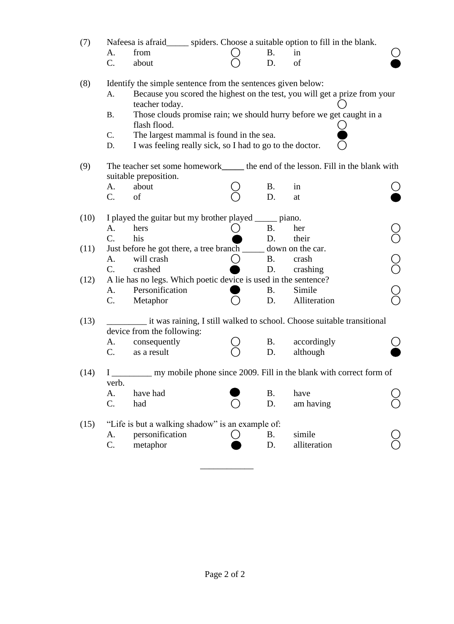| (7)  | Nafeesa is afraid_______ spiders. Choose a suitable option to fill in the blank.<br>from<br>A.<br>C.<br>about                                                                                                                                                                                                                                                                              |  | <b>B.</b><br>D. | in<br>of                                                                                          |  |  |  |  |  |
|------|--------------------------------------------------------------------------------------------------------------------------------------------------------------------------------------------------------------------------------------------------------------------------------------------------------------------------------------------------------------------------------------------|--|-----------------|---------------------------------------------------------------------------------------------------|--|--|--|--|--|
| (8)  | Identify the simple sentence from the sentences given below:<br>Because you scored the highest on the test, you will get a prize from your<br>A.<br>teacher today.<br>Those clouds promise rain; we should hurry before we get caught in a<br><b>B.</b><br>flash flood.<br>The largest mammal is found in the sea.<br>C.<br>I was feeling really sick, so I had to go to the doctor.<br>D. |  |                 |                                                                                                   |  |  |  |  |  |
| (9)  | The teacher set some homework_______ the end of the lesson. Fill in the blank with<br>suitable preposition.<br>about<br>A.<br>C.<br>of                                                                                                                                                                                                                                                     |  | <b>B.</b><br>D. | in<br>at                                                                                          |  |  |  |  |  |
| (10) | I played the guitar but my brother played ______ piano.<br>hers<br>A.<br>$C_{\cdot}$<br>his                                                                                                                                                                                                                                                                                                |  | <b>B.</b><br>D. | her<br>their                                                                                      |  |  |  |  |  |
| (11) | Just before he got there, a tree branch ______<br>will crash<br>A.<br>$\mathcal{C}$ .<br>crashed                                                                                                                                                                                                                                                                                           |  | <b>B.</b><br>D. | down on the car.<br>crash<br>crashing                                                             |  |  |  |  |  |
| (12) | A lie has no legs. Which poetic device is used in the sentence?<br>Personification<br>A.<br>C.<br>Metaphor                                                                                                                                                                                                                                                                                 |  | <b>B.</b><br>D. | Simile<br>Alliteration                                                                            |  |  |  |  |  |
| (13) | device from the following:<br>consequently<br>A.<br>C.<br>as a result                                                                                                                                                                                                                                                                                                                      |  | <b>B.</b><br>D. | it was raining, I still walked to school. Choose suitable transitional<br>accordingly<br>although |  |  |  |  |  |
| (14) | my mobile phone since 2009. Fill in the blank with correct form of<br>verb.<br>have had<br>A.<br>C.<br>had                                                                                                                                                                                                                                                                                 |  | <b>B.</b><br>D. | have<br>am having                                                                                 |  |  |  |  |  |
| (15) | "Life is but a walking shadow" is an example of:<br>personification<br>A.<br>C.<br>metaphor                                                                                                                                                                                                                                                                                                |  | <b>B.</b><br>D. | simile<br>alliteration                                                                            |  |  |  |  |  |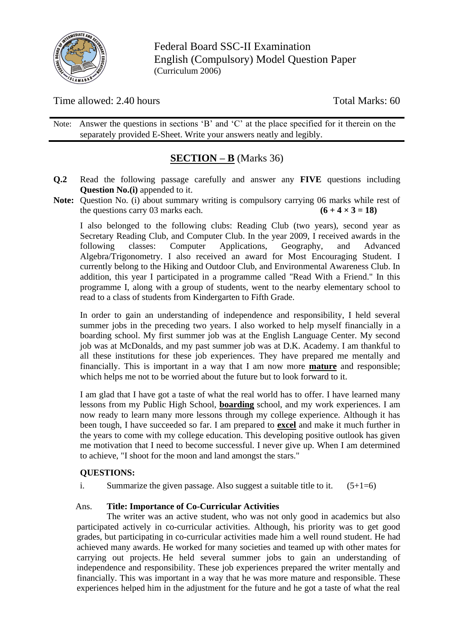

Federal Board SSC-II Examination English (Compulsory) Model Question Paper (Curriculum 2006)

Time allowed: 2.40 hours Total Marks: 60

Note: Answer the questions in sections 'B' and 'C' at the place specified for it therein on the separately provided E-Sheet. Write your answers neatly and legibly.

# **SECTION – B** (Marks 36)

- **Q.2** Read the following passage carefully and answer any **FIVE** questions including **Question No.(i)** appended to it.
- **Note:** Question No. (i) about summary writing is compulsory carrying 06 marks while rest of the questions carry 03 marks each.  $(6 + 4 \times 3 = 18)$

I also belonged to the following clubs: Reading Club (two years), second year as Secretary Reading Club, and Computer Club. In the year 2009, I received awards in the following classes: Computer Applications, Geography, and Advanced Algebra/Trigonometry. I also received an award for Most Encouraging Student. I currently belong to the Hiking and Outdoor Club, and Environmental Awareness Club. In addition, this year I participated in a programme called "Read With a Friend." In this programme I, along with a group of students, went to the nearby elementary school to read to a class of students from Kindergarten to Fifth Grade.

In order to gain an understanding of independence and responsibility, I held several summer jobs in the preceding two years. I also worked to help myself financially in a boarding school. My first summer job was at the English Language Center. My second job was at McDonalds, and my past summer job was at D.K. Academy. I am thankful to all these institutions for these job experiences. They have prepared me mentally and financially. This is important in a way that I am now more **mature** and responsible; which helps me not to be worried about the future but to look forward to it.

I am glad that I have got a taste of what the real world has to offer. I have learned many lessons from my Public High School, **boarding** school, and my work experiences. I am now ready to learn many more lessons through my college experience. Although it has been tough, I have succeeded so far. I am prepared to **excel** and make it much further in the years to come with my college education. This developing positive outlook has given me motivation that I need to become successful. I never give up. When I am determined to achieve, "I shoot for the moon and land amongst the stars."

### **QUESTIONS:**

i. Summarize the given passage. Also suggest a suitable title to it.  $(5+1=6)$ 

### Ans. **Title: Importance of Co-Curricular Activities**

The writer was an active student, who was not only good in academics but also participated actively in co-curricular activities. Although, his priority was to get good grades, but participating in co-curricular activities made him a well round student. He had achieved many awards. He worked for many societies and teamed up with other mates for carrying out projects. He held several summer jobs to gain an understanding of independence and responsibility. These job experiences prepared the writer mentally and financially. This was important in a way that he was more mature and responsible. These experiences helped him in the adjustment for the future and he got a taste of what the real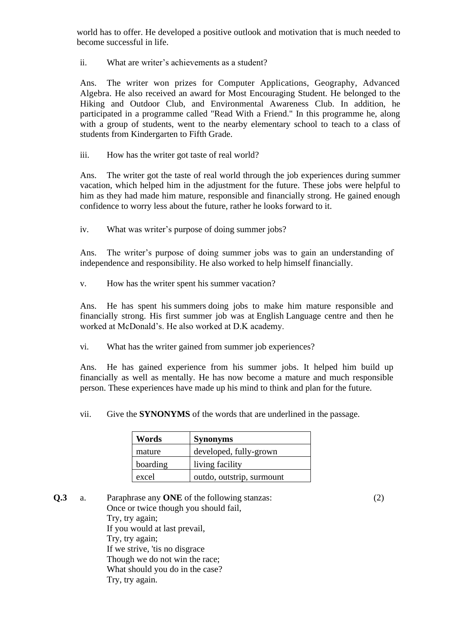world has to offer. He developed a positive outlook and motivation that is much needed to become successful in life.

ii. What are writer's achievements as a student?

Ans. The writer won prizes for Computer Applications, Geography, Advanced Algebra. He also received an award for Most Encouraging Student. He belonged to the Hiking and Outdoor Club, and Environmental Awareness Club. In addition, he participated in a programme called "Read With a Friend." In this programme he, along with a group of students, went to the nearby elementary school to teach to a class of students from Kindergarten to Fifth Grade.

iii. How has the writer got taste of real world?

Ans. The writer got the taste of real world through the job experiences during summer vacation, which helped him in the adjustment for the future. These jobs were helpful to him as they had made him mature, responsible and financially strong. He gained enough confidence to worry less about the future, rather he looks forward to it.

iv. What was writer's purpose of doing summer jobs?

Ans. The writer's purpose of doing summer jobs was to gain an understanding of independence and responsibility. He also worked to help himself financially.

v. How has the writer spent his summer vacation?

Ans. He has spent his [summers](https://brainly.in/question/11438618) doing jobs to make him mature responsible and financially strong. His first summer job was at [English](https://www.perfect24u.com/grade-4-kpk-textbook-pdf-download/) Language centre and then he worked at McDonald's. He also worked at D.K academy.

vi. What has the writer gained from summer job experiences?

Ans. He has gained experience from his summer jobs. It helped him build up financially as well as mentally. He has now become a mature and much responsible person. These experiences have made up his mind to think and plan for the future.

vii. Give the **SYNONYMS** of the words that are underlined in the passage.

| Words    | <b>Synonyms</b>           |  |  |  |  |  |
|----------|---------------------------|--|--|--|--|--|
| mature   | developed, fully-grown    |  |  |  |  |  |
| boarding | living facility           |  |  |  |  |  |
| excel    | outdo, outstrip, surmount |  |  |  |  |  |

**Q.3** a. Paraphrase any **ONE** of the following stanzas: (2) Once or twice though you should fail, Try, try again; If you would at last prevail, Try, try again; If we strive, 'tis no disgrace Though we do not win the race; What should you do in the case? Try, try again.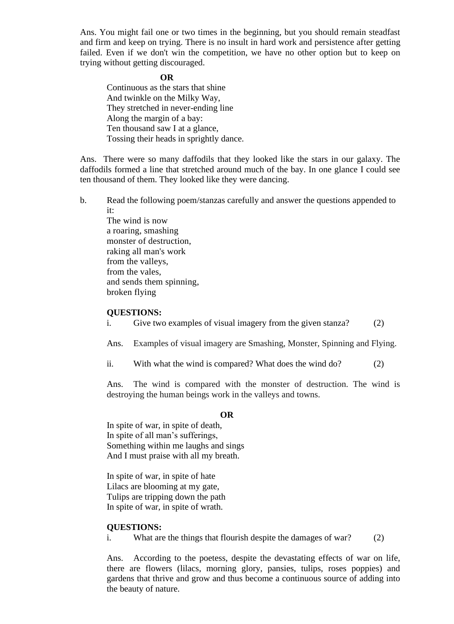Ans. You might fail one or two times in the beginning, but you should remain steadfast and firm and keep on trying. There is no insult in hard work and persistence after getting failed. Even if we don't win the competition, we have no other option but to keep on trying without getting discouraged.

#### **OR**

Continuous as the stars that shine And twinkle on the Milky Way, They stretched in never-ending line Along the margin of a bay: Ten thousand saw I at a glance, Tossing their heads in sprightly dance.

Ans. There were so many daffodils that they looked like the stars in our galaxy. The daffodils formed a line that stretched around much of the bay. In one glance I could see ten thousand of them. They looked like they were dancing.

b. Read the following poem/stanzas carefully and answer the questions appended to it:

The wind is now a roaring, smashing monster of destruction, raking all man's work from the valleys, from the vales, and sends them spinning, broken flying

#### **QUESTIONS:**

i. Give two examples of visual imagery from the given stanza? (2)

Ans. Examples of visual imagery are Smashing, Monster, Spinning and Flying.

ii. With what the wind is compared? What does the wind do? (2)

Ans. The wind is compared with the monster of destruction. The wind is destroying the human beings work in the valleys and towns.

#### **OR**

In spite of war, in spite of [death,](https://fakhrealam-31733.medium.com/paraphrase-in-spite-of-war-72381f8dfabf) In [spite](https://fakhrealam-31733.medium.com/in-spite-of-war-spark-notes-8dd401b66760) of all man's sufferings, Something within me laughs and sings And I must praise with all my breath.

In spite of war, in spite of hate Lilacs are blooming at my gate, Tulips are tripping down the path In spite of war, in spite of wrath.

#### **QUESTIONS:**

i. What are the things that flourish despite the damages of war? (2)

Ans. According to the poetess, despite the devastating effects of war on life, there are flowers (lilacs, morning glory, pansies, tulips, roses poppies) and gardens that thrive and grow and thus become a continuous source of adding into the beauty of nature.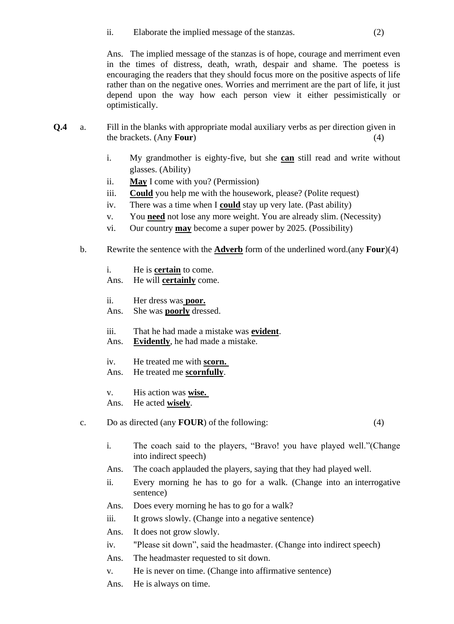ii. Elaborate the implied message of the stanzas. (2)

Ans. The implied message of the stanzas is of hope, courage and merriment even in the times of distress, death, wrath, despair and shame. The poetess is encouraging the readers that they should focus more on the positive aspects of life rather than on the negative ones. Worries and merriment are the part of life, it just depend upon the way how each person view it either pessimistically or optimistically.

- **Q.4** a. Fill in the blanks with appropriate modal auxiliary verbs as per direction given in the brackets. (Any **Four**) (4)
	- i. My grandmother is eighty-five, but she **can** still read and write without glasses. (Ability)
	- ii. **May** I come with you? (Permission)
	- iii. **Could** you help me with the housework, please? (Polite request)
	- iv. There was a time when I **could** stay up very late. (Past ability)
	- v. You **need** not lose any more weight. You are already slim. (Necessity)
	- vi. Our country **may** become a super power by 2025. (Possibility)
	- b. Rewrite the sentence with the **Adverb** form of the underlined word.(any **Four**)(4)
		- i. He is **certain** to come.

Ans. He will **certainly** come.

- ii. Her dress was **poor.**
- Ans. She was **poorly** dressed.
- iii. That he had made a mistake was **evident**.
- Ans. **Evidently**, he had made a mistake.
- iv. He treated me with **scorn.**
- Ans. He treated me **scornfully**.
- v. His action was **wise.**
- Ans. He acted **wisely**.
- c. Do as directed (any **FOUR**) of the following: (4)

- i. The coach said to the players, "Bravo! you have played well."(Change into indirect speech)
- Ans. The coach applauded the players, saying that they had played well.
- ii. Every morning he has to go for a walk. (Change into an interrogative sentence)
- Ans. Does every morning he has to go for a walk?
- iii. It grows slowly. (Change into a negative sentence)
- Ans. It does not grow slowly.
- iv. "Please sit down", said the headmaster. (Change into indirect speech)
- Ans. The headmaster requested to sit down.
- v. He is never on time. (Change into affirmative sentence)
- Ans. He is always on time.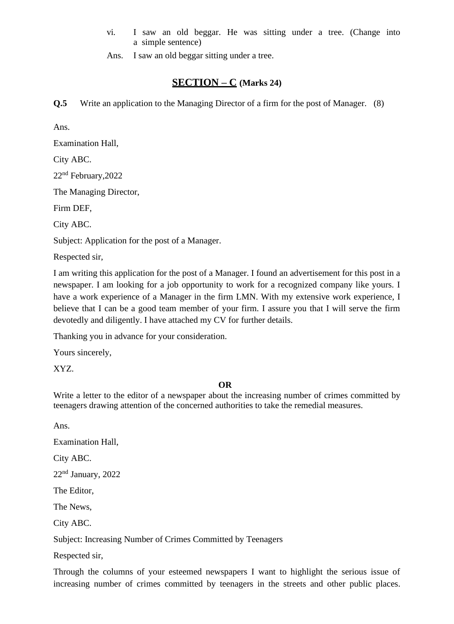- vi. I saw an old beggar. He was sitting under a tree. (Change into a simple sentence)
- Ans. I saw an old beggar sitting under a tree.

# **SECTION – C (Marks 24)**

**Q.5** Write an application to the Managing Director of a firm for the post of Manager. (8)

Ans.

Examination Hall,

City ABC.

22nd February,2022

The Managing Director,

Firm DEF,

City ABC.

Subject: Application for the post of a Manager.

Respected sir,

I am writing this application for the post of a Manager. I found an advertisement for this post in a newspaper. I am looking for a job opportunity to work for a recognized company like yours. I have a work experience of a Manager in the firm LMN. With my extensive work experience, I believe that I can be a good team member of your firm. I assure you that I will serve the firm devotedly and diligently. I have attached my CV for further details.

Thanking you in advance for your consideration.

Yours sincerely,

XYZ.

### **OR**

Write a letter to the editor of a newspaper about the increasing number of crimes committed by teenagers drawing attention of the concerned authorities to take the remedial measures.

Ans.

Examination Hall,

City ABC.

22nd January, 2022

The Editor,

The News,

City ABC.

Subject: Increasing Number of Crimes Committed by Teenagers

Respected sir,

Through the columns of your esteemed newspapers I want to highlight the serious issue of increasing number of crimes committed by teenagers in the streets and other public places.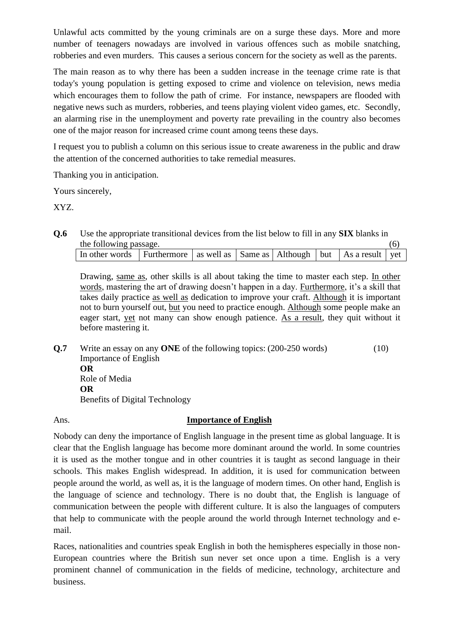Unlawful acts committed by the young criminals are on a surge these days. More and more number of teenagers nowadays are involved in various offences such as mobile snatching, robberies and even murders. This causes a serious concern for the society as well as the parents.

The main reason as to why there has been a sudden increase in the teenage crime rate is that today's young population is getting exposed to crime and violence on television, news media which encourages them to follow the path of crime. For instance, newspapers are flooded with negative news such as murders, robberies, and teens playing violent video games, etc. Secondly, an alarming rise in the unemployment and poverty rate prevailing in the country also becomes one of the major reason for increased crime count among teens these days.

I request you to publish a column on this serious issue to create awareness in the public and draw the attention of the concerned authorities to take remedial measures.

Thanking you in anticipation.

Yours sincerely,

XYZ.

**Q.6** Use the appropriate transitional devices from the list below to fill in any **SIX** blanks in the following passage.  $(6)$ 

| In other words Furthermore as well as $\vert$ Same as $\vert$ Although $\vert$ but $\vert$ As a result $\vert$ yet |  |  |  |  |
|--------------------------------------------------------------------------------------------------------------------|--|--|--|--|
|                                                                                                                    |  |  |  |  |

Drawing, same as, other skills is all about taking the time to master each step. In other words, mastering the art of drawing doesn't happen in a day. Furthermore, it's a skill that takes daily practice as well as dedication to improve your craft. Although it is important not to burn yourself out, but you need to practice enough. Although some people make an eager start, yet not many can show enough patience. As a result, they quit without it before mastering it.

**Q.7** Write an essay on any **ONE** of the following topics: (200-250 words) (10) Importance of English **OR** Role of Media **OR** Benefits of Digital Technology

### Ans. **Importance of English**

Nobody can deny the importance of English language in the present time as global language. It is clear that the English language has become more dominant around the world. In some countries it is used as the mother tongue and in other countries it is taught as second language in their schools. This makes English widespread. In addition, it is used for communication between people around the world, as well as, it is the language of modern times. On other hand, English is the language of science and technology. There is no doubt that, the English is language of communication between the people with different culture. It is also the languages of computers that help to communicate with the people around the world through Internet technology and email.

Races, nationalities and countries speak English in both the hemispheres especially in those non-European countries where the British sun never set once upon a time. English is a very prominent channel of communication in the fields of medicine, technology, architecture and business.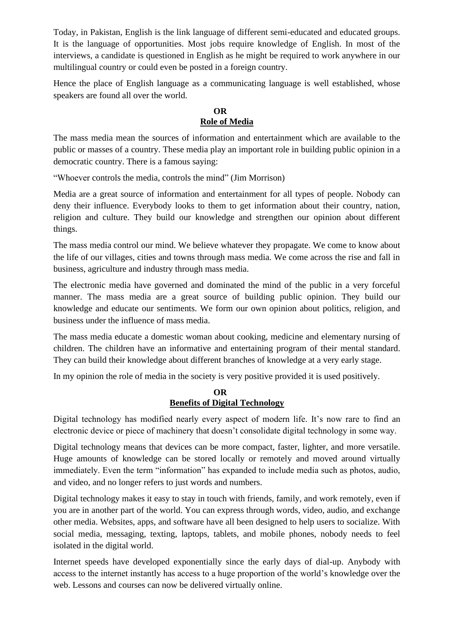Today, in Pakistan, English is the link language of different semi-educated and educated groups. It is the language of opportunities. Most jobs require knowledge of English. In most of the interviews, a candidate is questioned in English as he might be required to work anywhere in our multilingual country or could even be posted in a foreign country.

Hence the place of English language as a communicating language is well established, whose speakers are found all over the world.

### **OR Role of Media**

The mass media mean the sources of information and entertainment which are available to the public or masses of a country. These media play an important role in building public opinion in a democratic country. There is a famous saying:

"Whoever controls the media, controls the mind" (Jim Morrison)

Media are a great source of information and entertainment for all types of people. Nobody can deny their influence. Everybody looks to them to get information about their country, nation, religion and culture. They build our knowledge and strengthen our opinion about different things.

The mass media control our mind. We believe whatever they propagate. We come to know about the life of our villages, cities and towns through mass media. We come across the rise and fall in business, agriculture and industry through mass media.

The electronic media have governed and dominated the mind of the public in a very forceful manner. The mass media are a great source of building public opinion. They build our knowledge and educate our sentiments. We form our own opinion about politics, religion, and business under the influence of mass media.

The mass media educate a domestic woman about cooking, medicine and elementary nursing of children. The children have an informative and entertaining program of their mental standard. They can build their knowledge about different branches of knowledge at a very early stage.

In my opinion the role of media in the society is very positive provided it is used positively.

### **OR Benefits of Digital Technology**

Digital technology has modified nearly every aspect of modern life. It's now rare to find an electronic device or piece of machinery that doesn't consolidate digital technology in some way.

Digital technology means that devices can be more compact, faster, lighter, and more versatile. Huge amounts of knowledge can be stored locally or remotely and moved around virtually immediately. Even the term "information" has expanded to include media such as photos, audio, and video, and no longer refers to just words and numbers.

Digital technology makes it easy to stay in touch with friends, family, and work remotely, even if you are in another part of the world. You can express through words, video, audio, and exchange other media. Websites, apps, and software have all been designed to help users to socialize. With social media, messaging, texting, laptops, tablets, and mobile phones, nobody needs to feel isolated in the digital world.

Internet speeds have developed exponentially since the early days of dial-up. Anybody with access to the internet instantly has access to a huge proportion of the world's knowledge over the web. Lessons and courses can now be delivered virtually online.